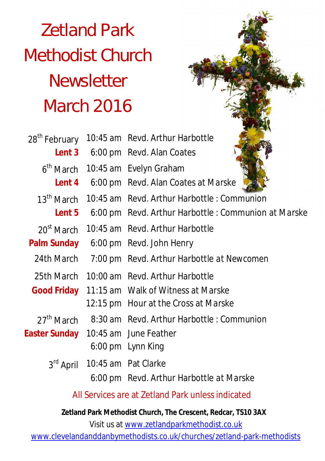# Zetland Park Methodist Church **Newsletter** March 2016

| 28 <sup>th</sup> February | 10:45 am Revd. Arthur Harbottle                      |  |
|---------------------------|------------------------------------------------------|--|
| Lent 3                    | 6:00 pm Revd. Alan Coates                            |  |
| 6 <sup>th</sup> March     | 10:45 am Evelyn Graham                               |  |
| Lent 4                    | 6:00 pm Revd. Alan Coates at Marske                  |  |
| $13^{\text{th}}$ March    | 10:45 am Revd. Arthur Harbottle: Communion           |  |
| Lent 5                    | 6:00 pm Revd. Arthur Harbottle : Communion at Marske |  |
| $20st$ March              | 10:45 am Revd. Arthur Harbottle                      |  |
| <b>Palm Sunday</b>        | 6:00 pm Revd. John Henry                             |  |
| 24th March                | 7:00 pm Revd. Arthur Harbottle at Newcomen           |  |
| 25th March                | 10:00 am Revd. Arthur Harbottle                      |  |
| <b>Good Friday</b>        | 11:15 am Walk of Witness at Marske                   |  |
|                           | 12:15 pm Hour at the Cross at Marske                 |  |
| $27th$ March              | 8:30 am Revd. Arthur Harbottle: Communion            |  |
| Easter Sunday             | 10:45 am June Feather                                |  |
|                           | 6:00 pm Lynn King                                    |  |
| $3^{\text{rd}}$ April     | 10:45 am Pat Clarke                                  |  |
|                           | 6:00 pm Revd. Arthur Harbottle at Marske             |  |
|                           |                                                      |  |

All Services are at Zetland Park unless indicated

**Zetland Park Methodist Church, The Crescent, Redcar, TS10 3AX**

Visit us at www.zetlandparkmethodist.co.uk

www.clevelandanddanbymethodists.co.uk/churches/zetland-park-methodists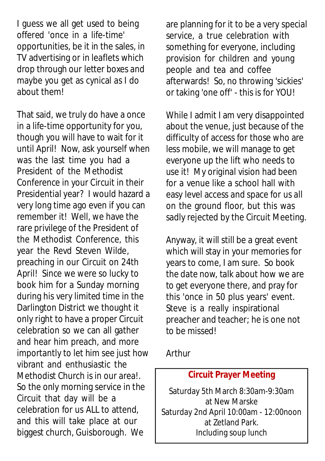I guess we all get used to being offered 'once in a life-time' opportunities, be it in the sales, in TV advertising or in leaflets which drop through our letter boxes and maybe you get as cynical as I do about them!

That said, we truly do have a once in a life-time opportunity for you, though you will have to wait for it until April! Now, ask yourself when was the last time you had a President of the Methodist Conference in your Circuit in their Presidential year? I would hazard a very long time ago even if you can remember it! Well, we have the rare privilege of the President of the Methodist Conference, this year the Revd Steven Wilde, preaching in our Circuit on 24th April! Since we were so lucky to book him for a Sunday morning during his very limited time in the Darlington District we thought it only right to have a proper Circuit celebration so we can all gather and hear him preach, and more importantly to let him see just how vibrant and enthusiastic the Methodist Church is in our area!. So the only morning service in the Circuit that day will be a celebration for us ALL to attend, and this will take place at our biggest church, Guisborough. We

are planning for it to be a very special service, a true celebration with something for everyone, including provision for children and young people and tea and coffee afterwards! So, no throwing 'sickies' or taking 'one off' - this is for YOU!

While I admit I am very disappointed about the venue, just because of the difficulty of access for those who are less mobile, we will manage to get everyone up the lift who needs to use it! My original vision had been for a venue like a school hall with easy level access and space for us all on the ground floor, but this was sadly rejected by the Circuit Meeting.

Anyway, it will still be a great event which will stay in your memories for years to come, I am sure. So book the date now, talk about how we are to get everyone there, and pray for this 'once in 50 plus years' event. Steve is a really inspirational preacher and teacher; he is one not to be missed!

Arthur

#### **Circuit Prayer Meeting**

Saturday 5th March 8:30am-9:30am at New Marske Saturday 2nd April 10:00am - 12:00noon at Zetland Park. Including soup lunch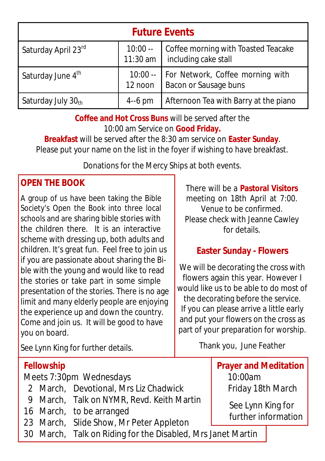| <b>Future Events</b>          |                      |                                                             |  |  |
|-------------------------------|----------------------|-------------------------------------------------------------|--|--|
| Saturday April 23rd           | $10:00 --$ 11:30 am  | Coffee morning with Toasted Teacake<br>including cake stall |  |  |
| Saturday June 4 <sup>th</sup> | $10:00 -$<br>12 noon | For Network, Coffee morning with<br>Bacon or Sausage buns   |  |  |
| Saturday July 30th            | $4-6$ pm             | Afternoon Tea with Barry at the piano                       |  |  |

**Coffee and Hot Cross Buns** will be served after the 10:00 am Service on **Good Friday.**

**Breakfast** will be served after the 8:30 am service on **Easter Sunday**. Please put your name on the list in the foyer if wishing to have breakfast.

Donations for the Mercy Ships at both events.

### **OPEN THE BOOK**

A group of us have been taking the Bible Society's Open the Book into three local schools and are sharing bible stories with the children there. It is an interactive scheme with dressing up, both adults and children. It's great fun. Feel free to join us if you are passionate about sharing the Bible with the young and would like to read the stories or take part in some simple presentation of the stories. There is no age limit and many elderly people are enjoying the experience up and down the country. Come and join us. It will be good to have you on board.

There will be a **Pastoral Visitors** meeting on 18th April at 7:00. Venue to be confirmed. Please check with Jeanne Cawley for details.

## **Easter Sunday - Flowers**

We will be decorating the cross with flowers again this year. However I would like us to be able to do most of the decorating before the service. If you can please arrive a little early and put your flowers on the cross as part of your preparation for worship.

Thank you, June Feather

See Lynn King for further details.

#### **Fellowship**

Meets 7:30pm Wednesdays

- 2 March, Devotional, Mrs Liz Chadwick
- 9 March, Talk on NYMR, Revd. Keith Martin
- 16 March, to be arranged
- 23 March, Slide Show, Mr Peter Appleton
- 30 March, Talk on Riding for the Disabled, Mrs Janet Martin

**Prayer and Meditation**  10:00am Friday 18th March

> See Lynn King for further information